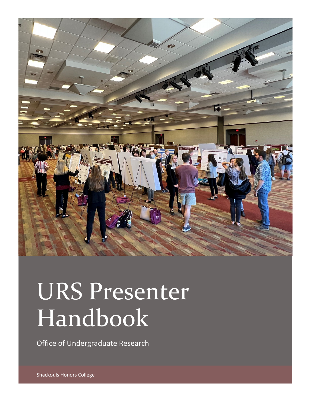

# URS Presenter Handbook

Office of Undergraduate Research

Shackouls Honors College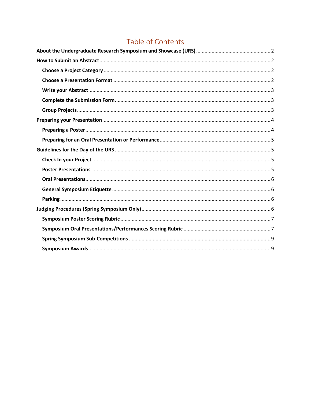# Table of Contents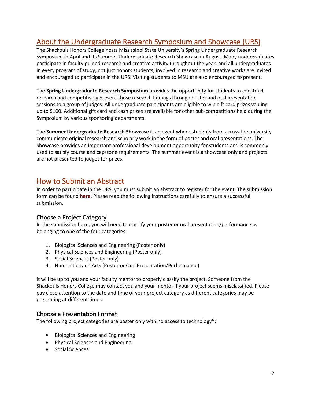# <span id="page-2-0"></span>About the Undergraduate Research Symposium and Showcase (URS)

The Shackouls Honors College hosts Mississippi State University's Spring Undergraduate Research Symposium in April and its Summer Undergraduate Research Showcase in August. Many undergraduates participate in faculty-guided research and creative activity throughout the year, and all undergraduates in every program of study, not just honors students, involved in research and creative works are invited and encouraged to participate in the URS. Visiting students to MSU are also encouraged to present.

The **Spring Undergraduate Research Symposium** provides the opportunity for students to construct research and competitively present those research findings through poster and oral presentation sessions to a group of judges. All undergraduate participants are eligible to win gift card prizes valuing up to \$100. Additional gift card and cash prizes are available for other sub-competitions held during the Symposium by various sponsoring departments.

The **Summer Undergraduate Research Showcase** is an event where students from across the university communicate original research and scholarly work in the form of poster and oral presentations. The Showcase provides an important professional development opportunity for students and is commonly used to satisfy course and capstone requirements. The summer event is a showcase only and projects are not presented to judges for prizes.

# <span id="page-2-1"></span>How to Submit an Abstract

In order to participate in the URS, you must submit an abstract to register for the event. The submission form can be found **[here.](https://www.honors.msstate.edu/research/undergraduate-research-symposium/register/)** Please read the following instructions carefully to ensure a successful submission.

# <span id="page-2-2"></span>Choose a Project Category

In the submission form, you will need to classify your poster or oral presentation/performance as belonging to one of the four categories:

- 1. Biological Sciences and Engineering (Poster only)
- 2. Physical Sciences and Engineering (Poster only)
- 3. Social Sciences (Poster only)
- 4. Humanities and Arts (Poster or Oral Presentation/Performance)

It will be up to you and your faculty mentor to properly classify the project. Someone from the Shackouls Honors College may contact you and your mentor if your project seems misclassified. Please pay close attention to the date and time of your project category as different categories may be presenting at different times.

# <span id="page-2-3"></span>Choose a Presentation Format

The following project categories are poster only with no access to technology\*:

- Biological Sciences and Engineering
- Physical Sciences and Engineering
- Social Sciences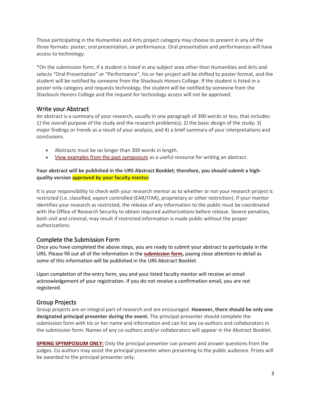Those participating in the Humanities and Arts project category may choose to present in any of the three formats: poster, oral presentation, or performance. Oral presentation and performances will have access to technology.

\*On the submission form, if a student is listed in any subject area other than Humanities and Arts and selects "Oral Presentation" or "Performance", his or her project will be shifted to poster format, and the student will be notified by someone from the Shackouls Honors College. If the student is listed in a poster only category and requests technology, the student will be notified by someone from the Shackouls Honors College and the request for technology access will not be approved.

# <span id="page-3-0"></span>Write your Abstract

An abstract is a summary of your research, usually in one paragraph of 300 words or less, that includes: 1) the overall purpose of the study and the research problem(s); 2) the basic design of the study; 3) major findings or trends as a result of your analysis; and 4) a brief summary of your interpretations and conclusions.

- Abstracts must be no longer than 300 words in length.
- [View examples from the past symposium](https://www.honors.msstate.edu/research/undergraduate-research-symposium/past-symposia/) as a useful resource for writing an abstract.

#### **Your abstract will be published in the URS Abstract Booklet; therefore, you should submit a highquality version approved by your faculty mentor**.

It is your responsibility to check with your research mentor as to whether or not your research project is restricted (i.e. classified, export controlled (EAR/ITAR), proprietary or other restriction). If your mentor identifies your research as restricted, the release of any information to the public must be coordinated with the Office of Research Security to obtain required authorizations before release. Severe penalties, both civil and criminal, may result if restricted information is made public without the proper authorizations.

# <span id="page-3-1"></span>Complete the Submission Form

Once you have completed the above steps, you are ready to submit your abstract to participate in the URS. Please fill out all of the information in the **[submission form,](https://www.honors.msstate.edu/research/undergraduate-research-symposium/register/)** paying close attention to detail as some of this information will be published in the URS Abstract Booklet.

Upon completion of the entry form, you and your listed faculty mentor will receive an email acknowledgement of your registration. If you do not receive a confirmation email, you are not registered.

# <span id="page-3-2"></span>Group Projects

Group projects are an integral part of research and are encouraged. **However, there should be only one designated principal presenter during the event.** The principal presenter should complete the submission form with his or her name and information and can list any co-authors and collaborators in the submission form. Names of any co-authors and/or collaborators will appear in the Abstract Booklet.

**SPRING SPYMPOSIUM ONLY:** Only the principal presenter can present and answer questions from the judges. Co-authors may assist the principal presenter when presenting to the public audience. Prizes will be awarded to the principal presenter only.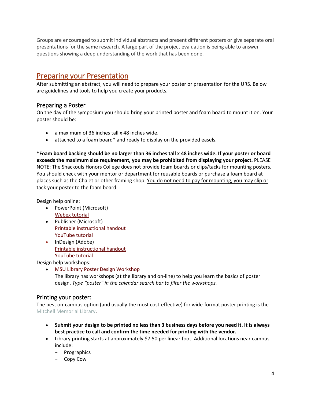Groups are encouraged to submit individual abstracts and present different posters or give separate oral presentations for the same research. A large part of the project evaluation is being able to answer questions showing a deep understanding of the work that has been done.

# <span id="page-4-0"></span>Preparing your Presentation

After submitting an abstract, you will need to prepare your poster or presentation for the URS. Below are guidelines and tools to help you create your products.

# <span id="page-4-1"></span>Preparing a Poster

On the day of the symposium you should bring your printed poster and foam board to mount it on. Your poster should be:

- a maximum of 36 inches tall x 48 inches wide.
- attached to a foam board\* and ready to display on the provided easels.

**\*Foam board backing should be no larger than 36 inches tall x 48 inches wide. If your poster or board exceeds the maximum size requirement, you may be prohibited from displaying your project.** PLEASE NOTE: The Shackouls Honors College does not provide foam boards or clips/tacks for mounting posters. You should check with your mentor or department for reusable boards or purchase a foam board at places such as the Chalet or other framing shop. You do not need to pay for mounting, you may clip or tack your poster to the foam board.

Design help online:

- PowerPoint (Microsoft) [Webex tutorial](https://msstate.webex.com/recordingservice/sites/msstate/recording/40e0a39a70af103ab4ef0050568f9b64/playback)
- Publisher (Microsoft) [Printable instructional handout](https://goo.gl/AyY4uv) [YouTube tutorial](https://goo.gl/Zx9dvn)
- InDesign (Adobe) [Printable instructional handout](https://goo.gl/aOxzQr) [YouTube tutorial](https://goo.gl/kI3zpz)

Design help workshops:

• [MSU Library Poster Design Workshop](http://msstate.libcal.com/calendar/events) The library has workshops (at the library and on-line) to help you learn the basics of poster design. *Type "poster" in the calendar search bar to filter the workshops.*

# Printing your poster:

The best on-campus option (and usually the most cost-effective) for wide-format poster printing is the [Mitchell Memorial Library.](https://msstate.libwizard.com/f/special-print?3777661=Wide-format%20printing)

- **Submit your design to be printed no less than 3 business days before you need it. It is always best practice to call and confirm the time needed for printing with the vendor.**
- Library printing starts at approximately \$7.50 per linear foot. Additional locations near campus include:
	- Prographics
	- Copy Cow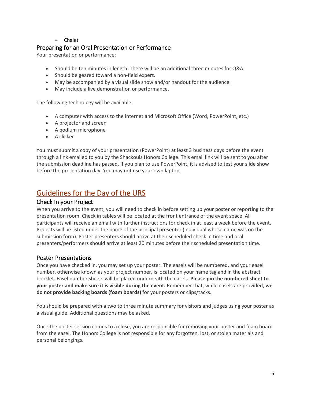#### - Chalet

# <span id="page-5-0"></span>Preparing for an Oral Presentation or Performance

Your presentation or performance:

- Should be ten minutes in length. There will be an additional three minutes for Q&A.
- Should be geared toward a non-field expert.
- May be accompanied by a visual slide show and/or handout for the audience.
- May include a live demonstration or performance.

The following technology will be available:

- A computer with access to the internet and Microsoft Office (Word, PowerPoint, etc.)
- A projector and screen
- A podium microphone
- A clicker

You must submit a copy of your presentation (PowerPoint) at least 3 business days before the event through a link emailed to you by the Shackouls Honors College. This email link will be sent to you after the submission deadline has passed. If you plan to use PowerPoint, it is advised to test your slide show before the presentation day. You may not use your own laptop.

# <span id="page-5-1"></span>Guidelines for the Day of the URS

## <span id="page-5-2"></span>Check In your Project

When you arrive to the event, you will need to check in before setting up your poster or reporting to the presentation room. Check in tables will be located at the front entrance of the event space. All participants will receive an email with further instructions for check in at least a week before the event. Projects will be listed under the name of the principal presenter (individual whose name was on the submission form). Poster presenters should arrive at their scheduled check in time and oral presenters/performers should arrive at least 20 minutes before their scheduled presentation time.

# <span id="page-5-3"></span>Poster Presentations

Once you have checked in, you may set up your poster. The easels will be numbered, and your easel number, otherwise known as your project number, is located on your name tag and in the abstract booklet. Easel number sheets will be placed underneath the easels. **Please pin the numbered sheet to your poster and make sure it is visible during the event.** Remember that, while easels are provided, **we do not provide backing boards (foam boards)** for your posters or clips/tacks.

You should be prepared with a two to three minute summary for visitors and judges using your poster as a visual guide. Additional questions may be asked.

Once the poster session comes to a close, you are responsible for removing your poster and foam board from the easel. The Honors College is not responsible for any forgotten, lost, or stolen materials and personal belongings.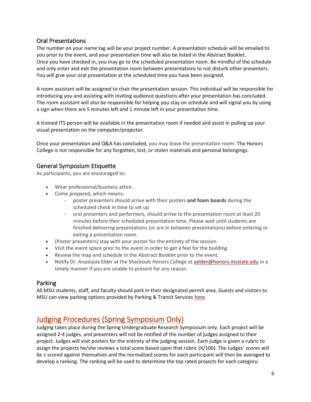# <span id="page-6-0"></span>Oral Presentations

The number on your name tag will be your project number. A presentation schedule will be emailed to you prior to the event, and your presentation time will also be listed in the Abstract Booklet. Once you have checked in, you may go to the scheduled presentation room. Be mindful of the schedule and only enter and exit the presentation room between presentations to not disturb other presenters. You will give your oral presentation at the scheduled time you have been assigned.

A room assistant will be assigned to chair the presentation session. This individual will be responsible for introducing you and assisting with inviting audience questions after your presentation has concluded. The room assistant will also be responsible for helping you stay on schedule and will signal you by using a sign when there are 5 minutes left and 1 minute left in your presentation time.

A trained ITS person will be available in the presentation room if needed and assist in pulling up your visual presentation on the computer/projector.

Once your presentation and Q&A has concluded, you may leave the presentation room. The Honors College is not responsible for any forgotten, lost, or stolen materials and personal belongings.

# <span id="page-6-1"></span>General Symposium Etiquette

As participants, you are encouraged to:

- Wear professional/business attire.
- Come prepared, which means:
	- poster presenters should arrive with their posters **and foam boards** during the scheduled check in time to set up
	- oral presenters and performers, should arrive to the presentation room at least 20 minutes before their scheduled presentation time. Please wait until students are finished delivering presentations (or are in between presentations) before entering or exiting a presentation room.
- (Poster presenters) stay with your poster for the entirety of the session.
- Visit the event space prior to the event in order to get a feel for the building
- Review the map and schedule in the Abstract Booklet prior to the event.
- Notify Dr. Anastasia Elder at the Shackouls Honors College a[t aelder@honors.msstate.edu](mailto:aelder@honors.msstate.edu) in a timely manner if you are unable to present for any reason.

# <span id="page-6-2"></span>Parking

All MSU students, staff, and faculty should park in their designated permit area. Guests and visitors to MSU can view parking options provided by Parking & Transit Services [here.](https://www.parkingservices.msstate.edu/parking/visitor)

# <span id="page-6-3"></span>Judging Procedures (Spring Symposium Only)

Judging takes place during the Spring Undergraduate Research Symposium only. Each project will be assigned 2-4 judges, and presenters will not be notified of the number of judges assigned to their project. Judges will visit posters for the entirety of the judging session. Each judge is given a rubric to assign the projects he/she reviews a total score based upon that rubric (X/100). The Judges' scores will be z-scored against themselves and the normalized scores for each participant will then be averaged to develop a ranking. The ranking will be used to determine the top rated projects for each category: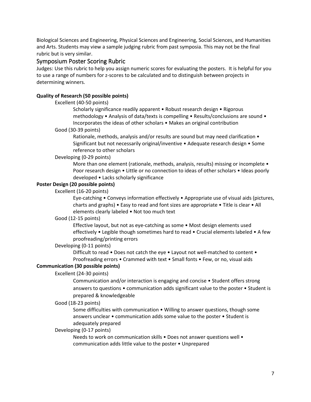Biological Sciences and Engineering, Physical Sciences and Engineering, Social Sciences, and Humanities and Arts. Students may view a sample judging rubric from past symposia. This may not be the final rubric but is very similar.

## <span id="page-7-0"></span>Symposium Poster Scoring Rubric

Judges: Use this rubric to help you assign numeric scores for evaluating the posters. It is helpful for you to use a range of numbers for z-scores to be calculated and to distinguish between projects in determining winners.

#### <span id="page-7-1"></span>**Quality of Research (50 possible points)**

#### Excellent (40-50 points)

Scholarly significance readily apparent • Robust research design • Rigorous methodology • Analysis of data/texts is compelling • Results/conclusions are sound • Incorporates the ideas of other scholars • Makes an original contribution

#### Good (30-39 points)

Rationale, methods, analysis and/or results are sound but may need clarification • Significant but not necessarily original/inventive • Adequate research design • Some reference to other scholars

#### Developing (0-29 points)

More than one element (rationale, methods, analysis, results) missing or incomplete • Poor research design • Little or no connection to ideas of other scholars • Ideas poorly developed • Lacks scholarly significance

#### **Poster Design (20 possible points)**

Excellent (16-20 points)

Eye-catching • Conveys information effectively • Appropriate use of visual aids (pictures, charts and graphs) • Easy to read and font sizes are appropriate • Title is clear • All elements clearly labeled • Not too much text

#### Good (12-15 points)

Effective layout, but not as eye-catching as some • Most design elements used effectively • Legible though sometimes hard to read • Crucial elements labeled • A few proofreading/printing errors

#### Developing (0-11 points)

Difficult to read • Does not catch the eye • Layout not well-matched to content • Proofreading errors • Crammed with text • Small fonts • Few, or no, visual aids

#### **Communication (30 possible points)**

#### Excellent (24-30 points)

Communication and/or interaction is engaging and concise • Student offers strong answers to questions • communication adds significant value to the poster • Student is prepared & knowledgeable

#### Good (18-23 points)

Some difficulties with communication • Willing to answer questions, though some answers unclear • communication adds some value to the poster • Student is adequately prepared

#### Developing (0-17 points)

Needs to work on communication skills • Does not answer questions well • communication adds little value to the poster • Unprepared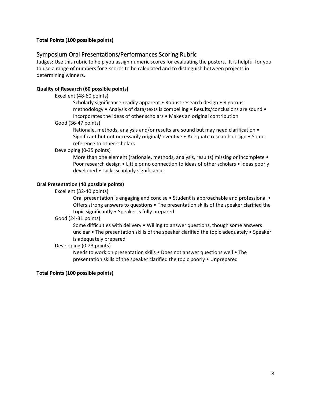#### **Total Points (100 possible points)**

# Symposium Oral Presentations/Performances Scoring Rubric

Judges: Use this rubric to help you assign numeric scores for evaluating the posters. It is helpful for you to use a range of numbers for z-scores to be calculated and to distinguish between projects in determining winners.

#### **Quality of Research (60 possible points)**

Excellent (48-60 points)

Scholarly significance readily apparent • Robust research design • Rigorous methodology • Analysis of data/texts is compelling • Results/conclusions are sound • Incorporates the ideas of other scholars • Makes an original contribution

#### Good (36-47 points)

Rationale, methods, analysis and/or results are sound but may need clarification • Significant but not necessarily original/inventive • Adequate research design • Some reference to other scholars

#### Developing (0-35 points)

More than one element (rationale, methods, analysis, results) missing or incomplete • Poor research design • Little or no connection to ideas of other scholars • Ideas poorly developed • Lacks scholarly significance

#### **Oral Presentation (40 possible points)**

#### Excellent (32-40 points)

Oral presentation is engaging and concise • Student is approachable and professional • Offers strong answers to questions • The presentation skills of the speaker clarified the topic significantly • Speaker is fully prepared

#### Good (24-31 points)

Some difficulties with delivery • Willing to answer questions, though some answers unclear • The presentation skills of the speaker clarified the topic adequately • Speaker is adequately prepared

#### Developing (0-23 points)

Needs to work on presentation skills • Does not answer questions well • The presentation skills of the speaker clarified the topic poorly • Unprepared

#### **Total Points (100 possible points)**